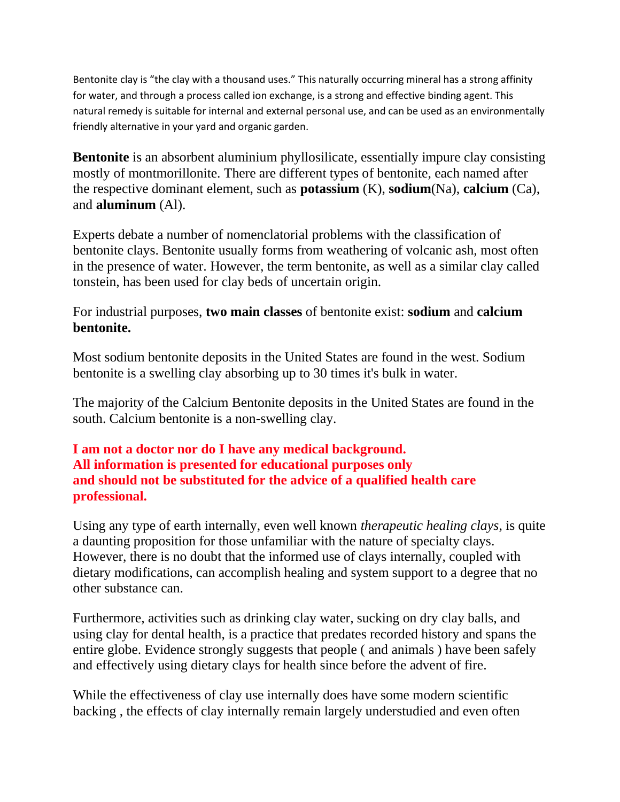Bentonite clay is "the clay with a thousand uses." This naturally occurring mineral has a strong affinity for water, and through a process called ion exchange, is a strong and effective binding agent. This natural remedy is suitable for internal and external personal use, and can be used as an environmentally friendly alternative in your yard and organic garden.

**Bentonite** is an absorbent aluminium phyllosilicate, essentially impure clay consisting mostly of montmorillonite. There are different types of bentonite, each named after the respective dominant element, such as **potassium** (K), **sodium**(Na), **calcium** (Ca), and **aluminum** (Al).

Experts debate a number of nomenclatorial problems with the classification of bentonite clays. Bentonite usually forms from weathering of volcanic ash, most often in the presence of water. However, the term bentonite, as well as a similar clay called tonstein, has been used for clay beds of uncertain origin.

For industrial purposes, **two main classes** of bentonite exist: **sodium** and **calcium bentonite.**

Most sodium bentonite deposits in the United States are found in the west. Sodium bentonite is a swelling clay absorbing up to 30 times it's bulk in water.

The majority of the Calcium Bentonite deposits in the United States are found in the south. Calcium bentonite is a non-swelling clay.

# **I am not a doctor nor do I have any medical background. All information is presented for educational purposes only and should not be substituted for the advice of a qualified health care professional.**

Using any type of earth internally, even well known *therapeutic healing clays*, is quite a daunting proposition for those unfamiliar with the nature of specialty clays. However, there is no doubt that the informed use of clays internally, coupled with dietary modifications, can accomplish healing and system support to a degree that no other substance can.

Furthermore, activities such as drinking clay water, sucking on dry clay balls, and using clay for dental health, is a practice that predates recorded history and spans the entire globe. Evidence strongly suggests that people ( and animals ) have been safely and effectively using dietary clays for health since before the advent of fire.

While the effectiveness of clay use internally does have some modern scientific backing , the effects of clay internally remain largely understudied and even often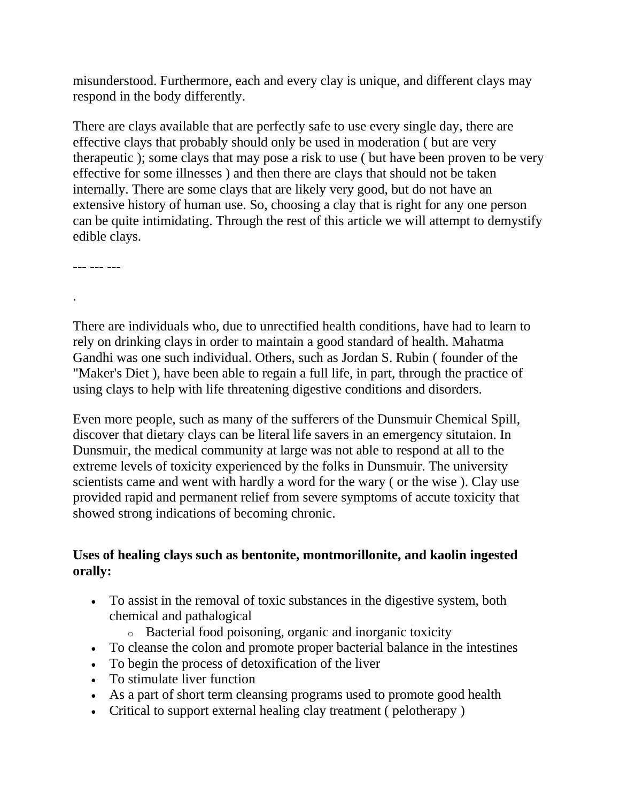misunderstood. Furthermore, each and every clay is unique, and different clays may respond in the body differently.

There are clays available that are perfectly safe to use every single day, there are effective clays that probably should only be used in moderation ( but are very therapeutic ); some clays that may pose a risk to use ( but have been proven to be very effective for some illnesses ) and then there are clays that should not be taken internally. There are some clays that are likely very good, but do not have an extensive history of human use. So, choosing a clay that is right for any one person can be quite intimidating. Through the rest of this article we will attempt to demystify edible clays.

--- --- ---

.

There are individuals who, due to unrectified health conditions, have had to learn to rely on drinking clays in order to maintain a good standard of health. Mahatma Gandhi was one such individual. Others, such as Jordan S. Rubin ( founder of the "Maker's Diet ), have been able to regain a full life, in part, through the practice of using clays to help with life threatening digestive conditions and disorders.

Even more people, such as many of the sufferers of the Dunsmuir Chemical Spill, discover that dietary clays can be literal life savers in an emergency situtaion. In Dunsmuir, the medical community at large was not able to respond at all to the extreme levels of toxicity experienced by the folks in Dunsmuir. The university scientists came and went with hardly a word for the wary ( or the wise ). Clay use provided rapid and permanent relief from severe symptoms of accute toxicity that showed strong indications of becoming chronic.

# **Uses of healing clays such as bentonite, montmorillonite, and kaolin ingested orally:**

- To assist in the removal of toxic substances in the digestive system, both chemical and pathalogical
	- o Bacterial food poisoning, organic and inorganic toxicity
- To cleanse the colon and promote proper bacterial balance in the intestines
- To begin the process of detoxification of the liver
- To stimulate liver function
- As a part of short term cleansing programs used to promote good health
- Critical to support external healing clay treatment ( pelotherapy )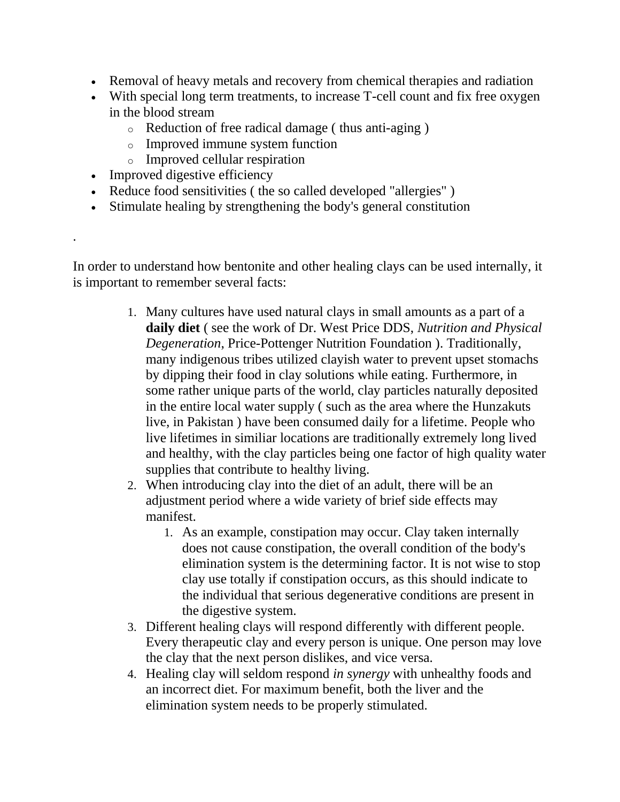- Removal of heavy metals and recovery from chemical therapies and radiation
- With special long term treatments, to increase T-cell count and fix free oxygen in the blood stream
	- o Reduction of free radical damage ( thus anti-aging )
	- o Improved immune system function
	- o Improved cellular respiration
- Improved digestive efficiency

.

- Reduce food sensitivities ( the so called developed "allergies" )
- Stimulate healing by strengthening the body's general constitution

In order to understand how bentonite and other healing clays can be used internally, it is important to remember several facts:

- 1. Many cultures have used natural clays in small amounts as a part of a **daily diet** ( see the work of Dr. West Price DDS, *Nutrition and Physical Degeneration*, Price-Pottenger Nutrition Foundation ). Traditionally, many indigenous tribes utilized clayish water to prevent upset stomachs by dipping their food in clay solutions while eating. Furthermore, in some rather unique parts of the world, clay particles naturally deposited in the entire local water supply ( such as the area where the Hunzakuts live, in Pakistan ) have been consumed daily for a lifetime. People who live lifetimes in similiar locations are traditionally extremely long lived and healthy, with the clay particles being one factor of high quality water supplies that contribute to healthy living.
- 2. When introducing clay into the diet of an adult, there will be an adjustment period where a wide variety of brief side effects may manifest.
	- 1. As an example, constipation may occur. Clay taken internally does not cause constipation, the overall condition of the body's elimination system is the determining factor. It is not wise to stop clay use totally if constipation occurs, as this should indicate to the individual that serious degenerative conditions are present in the digestive system.
- 3. Different healing clays will respond differently with different people. Every therapeutic clay and every person is unique. One person may love the clay that the next person dislikes, and vice versa.
- 4. Healing clay will seldom respond *in synergy* with unhealthy foods and an incorrect diet. For maximum benefit, both the liver and the elimination system needs to be properly stimulated.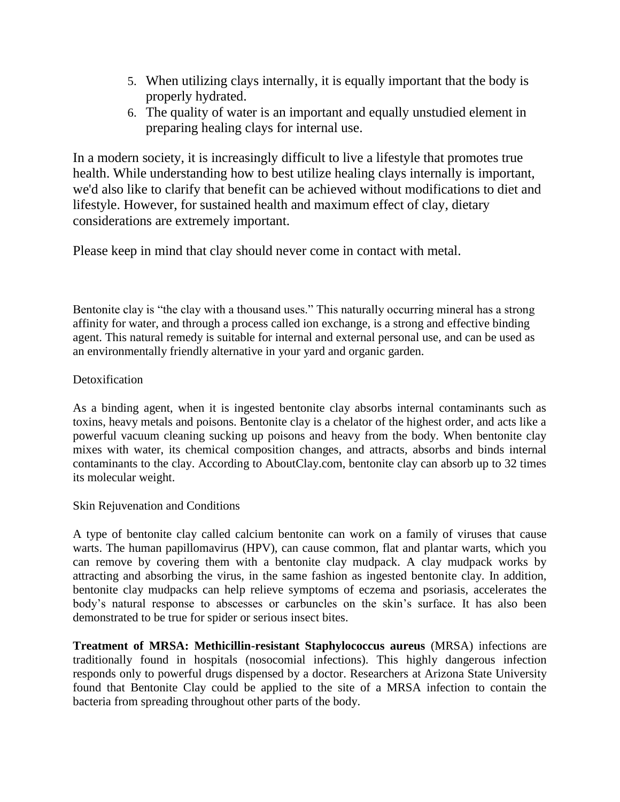- 5. When utilizing clays internally, it is equally important that the body is properly hydrated.
- 6. The quality of water is an important and equally unstudied element in preparing healing clays for internal use.

In a modern society, it is increasingly difficult to live a lifestyle that promotes true health. While understanding how to best utilize healing clays internally is important, we'd also like to clarify that benefit can be achieved without modifications to diet and lifestyle. However, for sustained health and maximum effect of clay, dietary considerations are extremely important.

Please keep in mind that clay should never come in contact with metal.

Bentonite clay is "the clay with a thousand uses." This naturally occurring mineral has a strong affinity for water, and through a process called ion exchange, is a strong and effective binding agent. This natural remedy is suitable for internal and external personal use, and can be used as an environmentally friendly alternative in your yard and organic garden.

## Detoxification

As a binding agent, when it is ingested bentonite clay absorbs internal contaminants such as toxins, heavy metals and poisons. Bentonite clay is a chelator of the highest order, and acts like a powerful vacuum cleaning sucking up poisons and heavy from the body. When bentonite clay mixes with water, its chemical composition changes, and attracts, absorbs and binds internal contaminants to the clay. According to AboutClay.com, bentonite clay can absorb up to 32 times its molecular weight.

### Skin Rejuvenation and Conditions

A type of bentonite clay called calcium bentonite can work on a family of viruses that cause warts. The human papillomavirus (HPV), can cause common, flat and plantar warts, which you can remove by covering them with a bentonite clay mudpack. A clay mudpack works by attracting and absorbing the virus, in the same fashion as ingested bentonite clay. In addition, bentonite clay mudpacks can help relieve symptoms of eczema and psoriasis, accelerates the body's natural response to abscesses or carbuncles on the skin's surface. It has also been demonstrated to be true for spider or serious insect bites.

**Treatment of MRSA: Methicillin-resistant Staphylococcus aureus** (MRSA) infections are traditionally found in hospitals (nosocomial infections). This highly dangerous infection responds only to powerful drugs dispensed by a doctor. Researchers at Arizona State University found that Bentonite Clay could be applied to the site of a MRSA infection to contain the bacteria from spreading throughout other parts of the body.